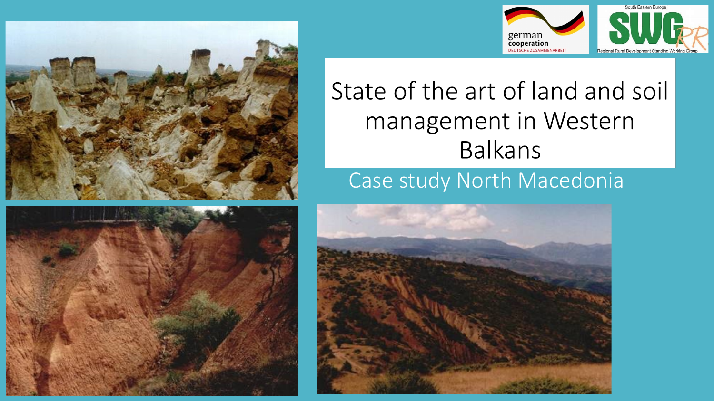





# State of the art of land and soil management in Western **Balkans**

## Case study North Macedonia

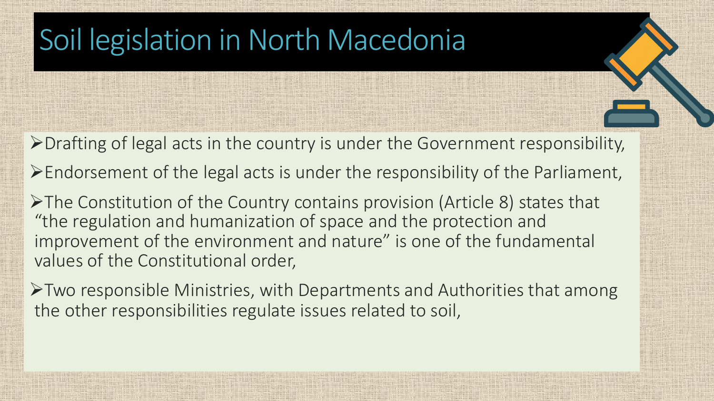# Soil legislation in North Macedonia

 $\triangleright$  Drafting of legal acts in the country is under the Government responsibility,

 $\triangleright$  Endorsement of the legal acts is under the responsibility of the Parliament,

ØThe Constitution of the Country contains provision (Article 8) states that "the regulation and humanization of space and the protection and improvement of the environment and nature" is one of the fundamental values of the Constitutional order,

ØTwo responsible Ministries, with Departments and Authorities that among the other responsibilities regulate issues related to soil,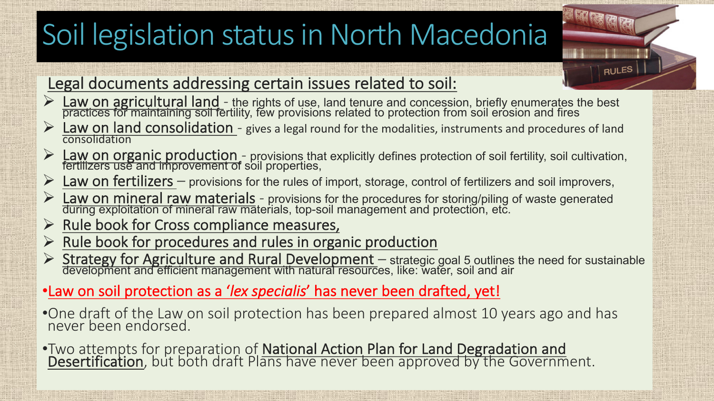# Soil legislation status in North Macedonia

#### Legal documents addressing certain issues related to soil:

**Eaw on agricultural land** - the rights of use, land tenure and concession, briefly enumerates the best practices for maintaining soil fertility, few provisions related to protection from soil erosion and fires

**RULES** 

- **Eaw on land consolidation** gives a legal round for the modalities, instruments and procedures of land consolidation
- <sup>Ø</sup> Law on organic production *-* provisions that explicitly defines protection of soil fertility, soil cultivation, fertilizers use and improvement of soil properties,
- Ø Law on fertilizers *–* provisions for the rules of import, storage, control of fertilizers and soil improvers,
- <sup>Ø</sup> Law on mineral raw materials *-* provisions for the procedures for storing/piling of waste generated during exploitation of mineral raw materials, top-soil management and protection, etc.
- $\triangleright$  Rule book for Cross compliance measures,
- $\triangleright$  Rule book for procedures and rules in organic production
- <sup>Ø</sup> Strategy for Agriculture and Rural Development *–* strategic goal 5 outlines the need for sustainable development and efficient management with natural resources, like: water, soil and air
- •Law on soil protection as a '*lex specialis*' has never been drafted, yet!
- •One draft of the Law on soil protection has been prepared almost 10 years ago and has never been endorsed.
- •Two attempts for preparation of **National Action Plan for Land Degradation and** Desertification, but both draft Plans have never been approved by the Government.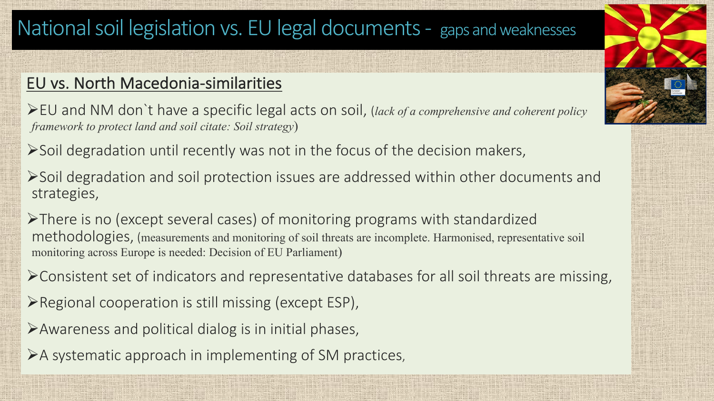## National soil legislation vs. EU legal documents - gaps and weaknesses

#### EU vs. North Macedonia-similarities

ØEU and NM don`t have a specific legal acts on soil, (*lack of a comprehensive and coherent policy framework to protect land and soil citate: Soil strategy*)

 $\triangleright$  Soil degradation until recently was not in the focus of the decision makers,

ØSoil degradation and soil protection issues are addressed within other documents and strategies,

ØThere is no (except several cases) of monitoring programs with standardized methodologies, (measurements and monitoring of soil threats are incomplete. Harmonised, representative soil monitoring across Europe is needed: Decision of EU Parliament)

 $\triangleright$  Consistent set of indicators and representative databases for all soil threats are missing,

 $\triangleright$  Regional cooperation is still missing (except ESP),

 $\triangleright$  Awareness and political dialog is in initial phases,

 $\triangleright$  A systematic approach in implementing of SM practices,

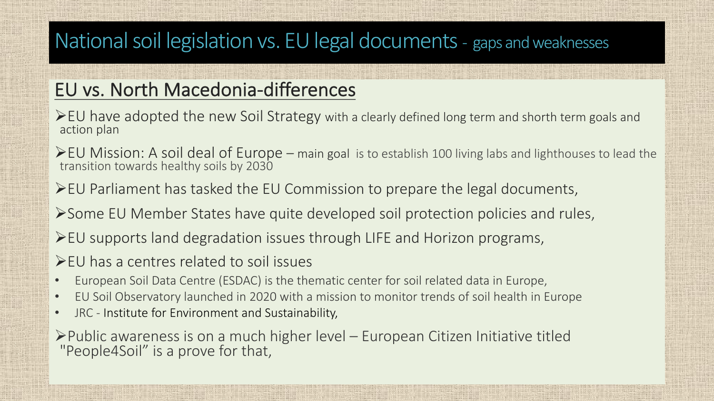## National soil legislation vs. EU legal documents - gaps and weaknesses

#### EU vs. North Macedonia-differences

- $\triangleright$  EU have adopted the new Soil Strategy with a clearly defined long term and shorth term goals and action plan
- ØEU Mission: A soil deal of Europe main goal is to establish 100 living labs and lighthouses to lead the transition towards healthy soils by 2030
- $\blacktriangleright$  EU Parliament has tasked the EU Commission to prepare the legal documents,
- ØSome EU Member States have quite developed soil protection policies and rules,
- $\blacktriangleright$  EU supports land degradation issues through LIFE and Horizon programs,
- $\blacktriangleright$  EU has a centres related to soil issues
- European Soil Data Centre (ESDAC) is the thematic center for soil related data in Europe,
- EU Soil Observatory launched in 2020 with a mission to monitor trends of soil health in Europe
- JRC Institute for Environment and Sustainability,

ØPublic awareness is on a much higher level – European Citizen Initiative titled "People4Soil" is a prove for that,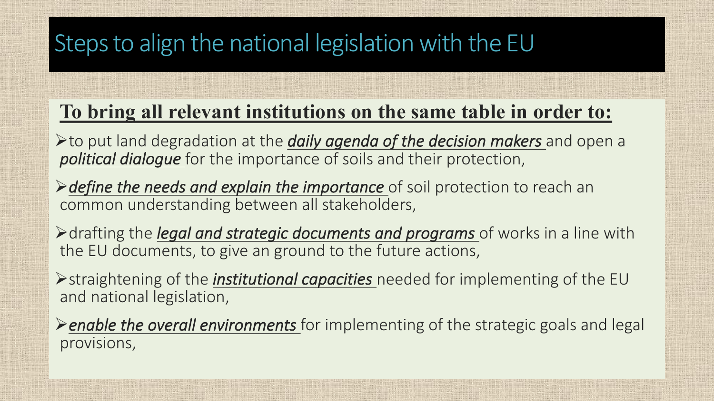# Steps to align the national legislation with the EU

### **To bring all relevant institutions on the same table in order to:**

Øto put land degradation at the *daily agenda of the decision makers* and open a *political dialogue* for the importance of soils and their protection,

> *>define the needs and explain the importance* of soil protection to reach an **both legally-binding and notified and notified and other and other respectively.** 

Adrafting the *legal and strategic documents and programs* of works in a line with the EU documents, to give an ground to the future actions,

**≻**straightening of the *institutional capacities* needed for implementing of the EU *aspects, and links to the other environmental policies*" and national legislation,

Ø*enable the overall environments* for implementing of the strategic goals and legal provisions,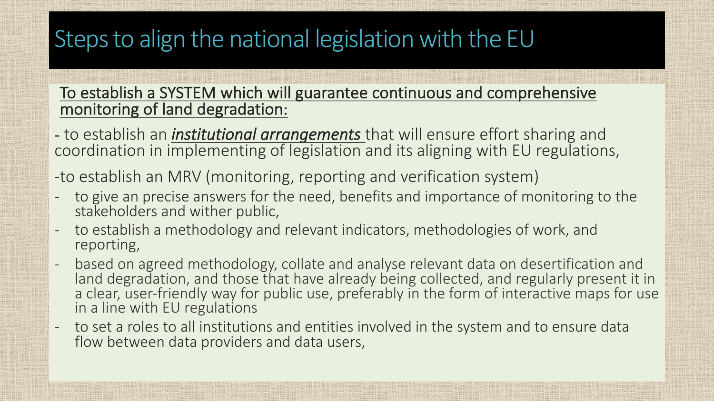# Steps to align the national legislation with the EU

#### To establish a SYSTEM which will guarantee continuous and comprehensive monitoring of land degradation:

- to establish an *institutional arrangements* that will ensure effort sharing and coordination in implementing of legislation and its aligning with EU regulations,
- -to establish an MRV (monitoring, reporting and verification system)
- to give an precise answers for the need, benefits and importance of monitoring to the stakeholders and wither public,
- to establish a methodology and relevant indicators, methodologies of work, and reporting,
- based on agreed methodology, collate and analyse relevant data on desertification and land degradation, and those that have already being collected, and regularly present it in a clear, user-friendly way for public use, preferably in the form of interactive maps for use in a line with EU regulations
- to set a roles to all institutions and entities involved in the system and to ensure data flow between data providers and data users,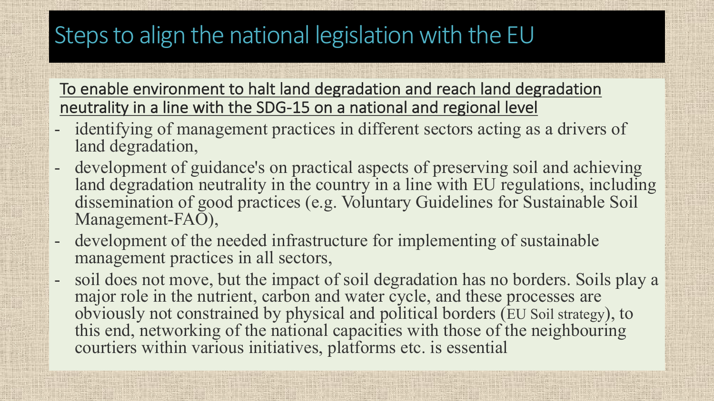# Steps to align the national legislation with the EU

To enable environment to halt land degradation and reach land degradation neutrality in a line with the SDG-15 on a national and regional level

- identifying of management practices in different sectors acting as a drivers of land degradation,
- development of guidance's on practical aspects of preserving soil and achieving land degradation neutrality in the country in a line with EU regulations, including dissemination of good practices (e.g. Voluntary Guidelines for Sustainable Soil Management-FAO),
- development of the needed infrastructure for implementing of sustainable management practices in all sectors,
- soil does not move, but the impact of soil degradation has no borders. Soils play a major role in the nutrient, carbon and water cycle, and these processes are obviously not constrained by physical and political borders (EU Soil strategy), to this end, networking of the national capacities with those of the neighbouring courtiers within various initiatives, platforms etc. is essential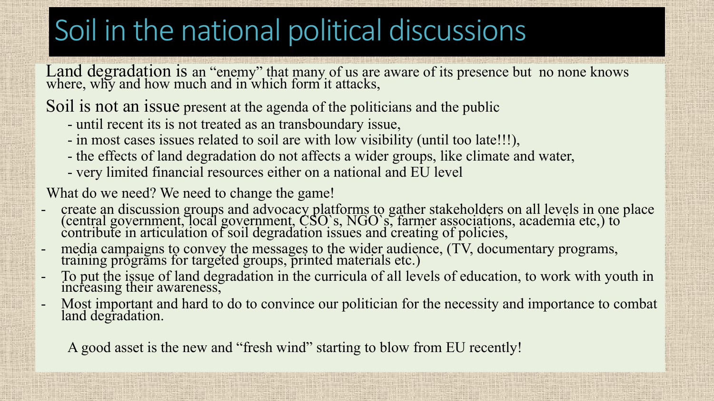# Soil in the national political discussions

Land degradation is an "enemy" that many of us are aware of its presence but no none knows where, why and how much and in which form it attacks,

Soil is not an issue present at the agenda of the politicians and the public

- until recent its is not treated as an transboundary issue,
- in most cases issues related to soil are with low visibility (until too late!!!),
- the effects of land degradation do not affects a wider groups, like climate and water,
- very limited financial resources either on a national and EU level

What do we need? We need to change the game!

- create an discussion groups and advocacy platforms to gather stakeholders on all levels in one place (central government, local government, CSO`s, NGO`s, farmer associations, academia etc,) to contribute in articulation of soil degradation issues and creating of policies,
- media campaigns to convey the messages to the wider audience, (TV, documentary programs, training programs for targeted groups, printed materials etc.)
- To put the issue of land degradation in the curricula of all levels of education, to work with youth in increasing their awareness,
- Most important and hard to do to convince our politician for the necessity and importance to combat land degradation.

A good asset is the new and "fresh wind" starting to blow from EU recently!